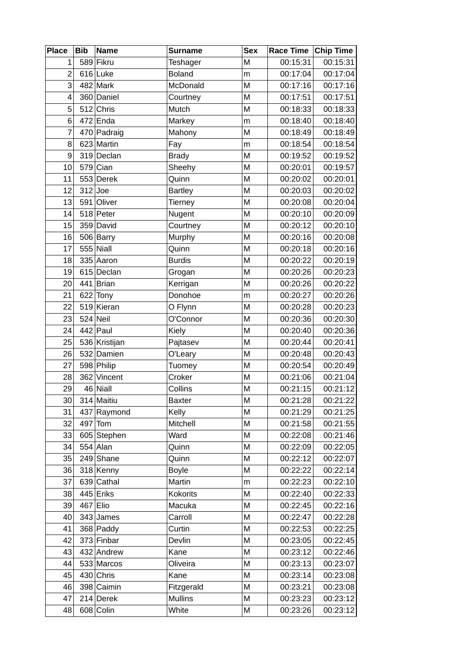| <b>Place</b>   | <b>Bib</b> | <b>Name</b>   | <b>Surname</b> | <b>Sex</b> | Race Time Chip Time |          |
|----------------|------------|---------------|----------------|------------|---------------------|----------|
| $\mathbf 1$    |            | 589 Fikru     | Teshager       | M          | 00:15:31            | 00:15:31 |
| $\overline{2}$ |            | $616$ Luke    | <b>Boland</b>  | m          | 00:17:04            | 00:17:04 |
| 3              |            | $482$ Mark    | McDonald       | M          | 00:17:16            | 00:17:16 |
| 4              |            | 360 Daniel    | Courtney       | M          | 00:17:51            | 00:17:51 |
| 5              |            | $512$ Chris   | Mutch          | M          | 00:18:33            | 00:18:33 |
| 6              |            | $472$ Enda    | Markey         | m          | 00:18:40            | 00:18:40 |
| $\overline{7}$ |            | 470 Padraig   | Mahony         | M          | 00:18:49            | 00:18:49 |
| 8              |            | 623 Martin    | Fay            | m          | 00:18:54            | 00:18:54 |
| 9              |            | 319 Declan    | <b>Brady</b>   | M          | 00:19:52            | 00:19:52 |
| 10             |            | $579$ Cian    | Sheehy         | M          | 00:20:01            | 00:19:57 |
| 11             |            | 553 Derek     | Quinn          | M          | 00:20:02            | 00:20:01 |
| 12             |            | $312$ Joe     | <b>Bartley</b> | M          | 00:20:03            | 00:20:02 |
| 13             |            | 591 Oliver    | Tierney        | M          | 00:20:08            | 00:20:04 |
| 14             |            | $518$ Peter   | Nugent         | M          | 00:20:10            | 00:20:09 |
| 15             |            | 359 David     | Courtney       | M          | 00:20:12            | 00:20:10 |
| 16             |            | 506 Barry     | Murphy         | M          | 00:20:16            | 00:20:08 |
| 17             |            | $555$ Niall   | Quinn          | M          | 00:20:18            | 00:20:16 |
| 18             |            | $335$ Aaron   | <b>Burdis</b>  | M          | 00:20:22            | 00:20:19 |
| 19             |            | $615 $ Declan | Grogan         | M          | 00:20:26            | 00:20:23 |
| 20             |            | $441$ Brian   | Kerrigan       | M          | 00:20:26            | 00:20:22 |
| 21             |            | $622$ Tony    | Donohoe        | m          | 00:20:27            | 00:20:26 |
| 22             |            | 519 Kieran    | O Flynn        | M          | 00:20:28            | 00:20:23 |
| 23             |            | $524$ Neil    | O'Connor       | M          | 00:20:36            | 00:20:30 |
| 24             |            | $442$ Paul    | Kiely          | M          | 00:20:40            | 00:20:36 |
| 25             |            | 536 Kristijan | Pajtasev       | M          | 00:20:44            | 00:20:41 |
| 26             |            | 532 Damien    | O'Leary        | M          | 00:20:48            | 00:20:43 |
| 27             |            | 598 Philip    | Tuomey         | M          | 00:20:54            | 00:20:49 |
| 28             |            | 362 Vincent   | Croker         | M          | 00:21:06            | 00:21:04 |
| 29             |            | $46$ Niall    | Collins        | M          | 00:21:15            | 00:21:12 |
| 30             |            | $314$ Maitiu  | <b>Baxter</b>  | M          | 00:21:28            | 00:21:22 |
| 31             |            | 437 Raymond   | Kelly          | М          | 00:21:29            | 00:21:25 |
| 32             |            | $497$ Tom     | Mitchell       | M          | 00:21:58            | 00:21:55 |
| 33             |            | 605 Stephen   | Ward           | М          | 00:22:08            | 00:21:46 |
| 34             |            | $554$ Alan    | Quinn          | M          | 00:22:09            | 00:22:05 |
| 35             |            | $249$ Shane   | Quinn          | М          | 00:22:12            | 00:22:07 |
| 36             |            | 318 Kenny     | <b>Boyle</b>   | M          | 00:22:22            | 00:22:14 |
| 37             |            | $639$ Cathal  | Martin         | m          | 00:22:23            | 00:22:10 |
| 38             |            | 445 Eriks     | Kokorits       | М          | 00:22:40            | 00:22:33 |
| 39             |            | $467$ Elio    | Macuka         | M          | 00:22:45            | 00:22:16 |
| 40             |            | $343$ James   | Carroll        | M          | 00:22:47            | 00:22:28 |
| 41             |            | 368 Paddy     | Curtin         | М          | 00:22:53            | 00:22:25 |
| 42             |            | 373 Finbar    | Devlin         | M          | 00:23:05            | 00:22:45 |
| 43             |            | 432 Andrew    | Kane           | M          | 00:23:12            | 00:22:46 |
| 44             |            | 533 Marcos    | Oliveira       | M          | 00:23:13            | 00:23:07 |
| 45             |            | $430$ Chris   | Kane           | М          | 00:23:14            | 00:23:08 |
| 46             |            | 398 Caimin    | Fitzgerald     | M          | 00:23:21            | 00:23:08 |
| 47             |            | $214$ Derek   | <b>Mullins</b> | M          | 00:23:23            | 00:23:12 |
| 48             |            | $608$ Colin   | White          | M          | 00:23:26            | 00:23:12 |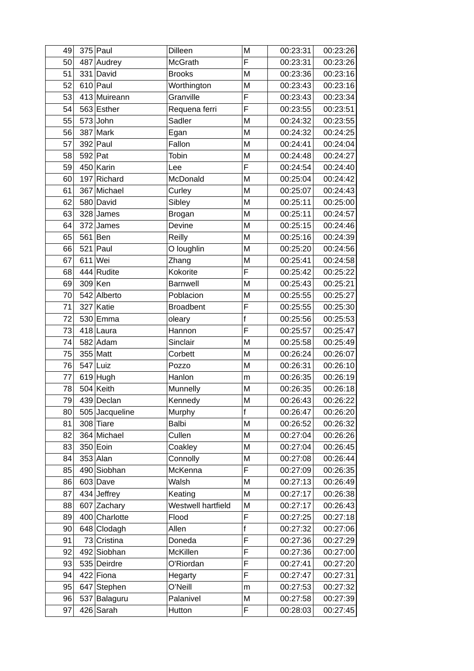| 49 |         | $375$ Paul     | Dilleen            | M            | 00:23:31 | 00:23:26 |
|----|---------|----------------|--------------------|--------------|----------|----------|
| 50 |         | 487 Audrey     | <b>McGrath</b>     | F            | 00:23:31 | 00:23:26 |
| 51 |         | $331$ David    | <b>Brooks</b>      | M            | 00:23:36 | 00:23:16 |
| 52 |         | $610$ Paul     | Worthington        | M            | 00:23:43 | 00:23:16 |
| 53 |         | 413 Muireann   | Granville          | F            | 00:23:43 | 00:23:34 |
| 54 |         | 563 Esther     | Requena ferri      | F            | 00:23:55 | 00:23:51 |
| 55 |         | $573$ John     | Sadler             | M            | 00:24:32 | 00:23:55 |
| 56 |         | $387$ Mark     | Egan               | M            | 00:24:32 | 00:24:25 |
| 57 |         | $392$ Paul     | Fallon             | M            | 00:24:41 | 00:24:04 |
| 58 | 592 Pat |                | Tobin              | M            | 00:24:48 | 00:24:27 |
| 59 |         | $450$ Karin    | Lee                | F            | 00:24:54 | 00:24:40 |
| 60 |         | $197$ Richard  | McDonald           | M            | 00:25:04 | 00:24:42 |
| 61 |         | 367 Michael    | Curley             | M            | 00:25:07 | 00:24:43 |
| 62 |         | 580 David      | Sibley             | M            | 00:25:11 | 00:25:00 |
| 63 |         | $328$ James    | <b>Brogan</b>      | M            | 00:25:11 | 00:24:57 |
| 64 |         | $372$ James    | Devine             | M            | 00:25:15 | 00:24:46 |
| 65 |         | $561$ Ben      | Reilly             | M            | 00:25:16 | 00:24:39 |
| 66 |         | $521$ Paul     | O loughlin         | M            | 00:25:20 | 00:24:56 |
| 67 |         | $611$ Wei      | Zhang              | M            | 00:25:41 | 00:24:58 |
| 68 |         | 444 Rudite     | Kokorite           | F            | 00:25:42 | 00:25:22 |
| 69 |         | $309$ Ken      | Barnwell           | M            | 00:25:43 | 00:25:21 |
| 70 |         | 542 Alberto    | Poblacion          | M            | 00:25:55 | 00:25:27 |
| 71 |         | $327$ Katie    | <b>Broadbent</b>   | F            | 00:25:55 | 00:25:30 |
| 72 |         | 530 Emma       | oleary             | $\mathsf{f}$ | 00:25:56 | 00:25:53 |
| 73 |         | $418$ Laura    | Hannon             | F            | 00:25:57 | 00:25:47 |
| 74 |         | 582 Adam       | Sinclair           | M            | 00:25:58 | 00:25:49 |
| 75 |         | $355$ Matt     | Corbett            | M            | 00:26:24 | 00:26:07 |
| 76 |         | $547$ Luiz     | <b>Pozzo</b>       | M            | 00:26:31 | 00:26:10 |
| 77 |         | $619$ Hugh     | Hanlon             | m            | 00:26:35 | 00:26:19 |
| 78 |         | $504$ Keith    | Munnelly           | M            | 00:26:35 | 00:26:18 |
| 79 |         | 439 Declan     | Kennedy            | M            | 00:26:43 | 00:26:22 |
| 80 |         | 505 Jacqueline | Murphy             | f            | 00:26:47 | 00:26:20 |
| 81 |         | $308$ Tiare    | <b>Balbi</b>       | M            | 00:26:52 | 00:26:32 |
| 82 |         | 364 Michael    | Cullen             | M            | 00:27:04 | 00:26:26 |
| 83 |         | $350$ Eoin     | Coakley            | M            | 00:27:04 | 00:26:45 |
| 84 |         | $353$ Alan     | Connolly           | M            | 00:27:08 | 00:26:44 |
| 85 |         | 490 Siobhan    | McKenna            | F            | 00:27:09 | 00:26:35 |
| 86 |         | $603$ Dave     | Walsh              | M            | 00:27:13 | 00:26:49 |
| 87 |         | $434$ Jeffrey  | Keating            | М            | 00:27:17 | 00:26:38 |
| 88 |         | 607 Zachary    | Westwell hartfield | M            | 00:27:17 | 00:26:43 |
| 89 |         | 400 Charlotte  | Flood              | F            | 00:27:25 | 00:27:18 |
| 90 |         | 648 Clodagh    | Allen              | $\mathsf{f}$ | 00:27:32 | 00:27:06 |
| 91 |         | 73 Cristina    | Doneda             | F            | 00:27:36 | 00:27:29 |
| 92 |         | 492 Siobhan    | McKillen           | F            | 00:27:36 | 00:27:00 |
| 93 |         | 535 Deirdre    | O'Riordan          | F            | 00:27:41 | 00:27:20 |
| 94 |         | $422$ Fiona    | Hegarty            | F            | 00:27:47 | 00:27:31 |
| 95 |         | 647 Stephen    | O'Neill            | m            | 00:27:53 | 00:27:32 |
| 96 |         | 537 Balaguru   | Palanivel          | M            | 00:27:58 | 00:27:39 |
| 97 |         | $426$ Sarah    | Hutton             | F            | 00:28:03 | 00:27:45 |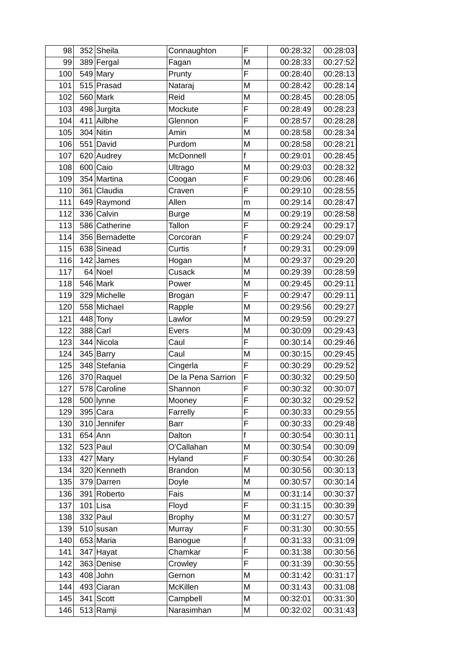| 98  | 352 Sheila     | Connaughton        | F            | 00:28:32 | 00:28:03 |
|-----|----------------|--------------------|--------------|----------|----------|
| 99  | 389 Fergal     | Fagan              | M            | 00:28:33 | 00:27:52 |
| 100 | $549$ Mary     | Prunty             | Ë            | 00:28:40 | 00:28:13 |
| 101 | $515$ Prasad   | Nataraj            | M            | 00:28:42 | 00:28:14 |
| 102 | $560$ Mark     | Reid               | M            | 00:28:45 | 00:28:05 |
| 103 | $498$ Jurgita  | Mockute            | F            | 00:28:49 | 00:28:23 |
| 104 | $411$ Ailbhe   | Glennon            | F            | 00:28:57 | 00:28:28 |
| 105 | $304$ Nitin    | Amin               | M            | 00:28:58 | 00:28:34 |
| 106 | $551$ David    | Purdom             | M            | 00:28:58 | 00:28:21 |
| 107 | 620 Audrey     | McDonnell          | $\mathsf{f}$ | 00:29:01 | 00:28:45 |
| 108 | $600$ Caio     | Ultrago            | M            | 00:29:03 | 00:28:32 |
| 109 | 354 Martina    | Coogan             | F            | 00:29:06 | 00:28:46 |
| 110 | 361 Claudia    | Craven             | F            | 00:29:10 | 00:28:55 |
| 111 | 649 Raymond    | Allen              | m            | 00:29:14 | 00:28:47 |
| 112 | 336 Calvin     | <b>Burge</b>       | M            | 00:29:19 | 00:28:58 |
| 113 | 586 Catherine  | Tallon             | F            | 00:29:24 | 00:29:17 |
| 114 | 356 Bernadette | Corcoran           | F            | 00:29:24 | 00:29:07 |
| 115 | 638 Sinead     | Curtis             | $\mathsf{f}$ | 00:29:31 | 00:29:09 |
| 116 | $142$ James    | Hogan              | M            | 00:29:37 | 00:29:20 |
| 117 | $64$ Noel      | Cusack             | M            | 00:29:39 | 00:28:59 |
| 118 | $546$ Mark     | Power              | M            | 00:29:45 | 00:29:11 |
| 119 | 329 Michelle   | <b>Brogan</b>      | F            | 00:29:47 | 00:29:11 |
| 120 | 558 Michael    | Rapple             | M            | 00:29:56 | 00:29:27 |
| 121 | 448 Tony       | Lawlor             | M            | 00:29:59 | 00:29:27 |
| 122 | $388$ Carl     | Evers              | M            | 00:30:09 | 00:29:43 |
| 123 | 344 Nicola     | Caul               | F            | 00:30:14 | 00:29:46 |
| 124 | 345 Barry      | Caul               | M            | 00:30:15 | 00:29:45 |
| 125 | 348 Stefania   | Cingerla           | F            | 00:30:29 | 00:29:52 |
| 126 | 370 Raquel     | De la Pena Sarrion | F            | 00:30:32 | 00:29:50 |
| 127 | 578 Caroline   | Shannon            | F            | 00:30:32 | 00:30:07 |
| 128 | 500 lynne      | Mooney             | F            | 00:30:32 | 00:29:52 |
| 129 | $395$ Cara     | Farrelly           | F            | 00:30:33 | 00:29:55 |
| 130 | 310 Jennifer   | Barr               | F            | 00:30:33 | 00:29:48 |
| 131 | $654$ Ann      | Dalton             | $\mathsf{f}$ | 00:30:54 | 00:30:11 |
| 132 | $523$ Paul     | O'Callahan         | M            | 00:30:54 | 00:30:09 |
| 133 | $427$ Mary     | Hyland             | F            | 00:30:54 | 00:30:26 |
| 134 | 320 Kenneth    | <b>Brandon</b>     | М            | 00:30:56 | 00:30:13 |
| 135 | 379 Darren     | Doyle              | M            | 00:30:57 | 00:30:14 |
| 136 | 391 Roberto    | Fais               | M            | 00:31:14 | 00:30:37 |
| 137 | $101$ Lisa     | Floyd              | F            | 00:31:15 | 00:30:39 |
| 138 | $332$ Paul     | <b>Brophy</b>      | M            | 00:31:27 | 00:30:57 |
| 139 | $510$ susan    | Murray             | F            | 00:31:30 | 00:30:55 |
| 140 | $653$ Maria    | Banogue            | $\mathsf f$  | 00:31:33 | 00:31:09 |
| 141 | $347$ Hayat    | Chamkar            | F            | 00:31:38 | 00:30:56 |
| 142 | 363 Denise     | Crowley            | F            | 00:31:39 | 00:30:55 |
| 143 | $408$ John     | Gernon             | M            | 00:31:42 | 00:31:17 |
| 144 | 493 Ciaran     | McKillen           | М            | 00:31:43 | 00:31:08 |
| 145 | $341$ Scott    | Campbell           | M            | 00:32:01 | 00:31:30 |
| 146 | $513$ Ramji    | Narasimhan         | M            | 00:32:02 | 00:31:43 |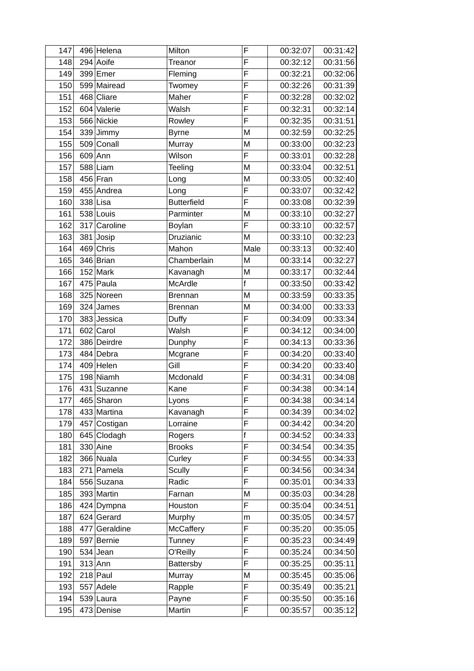| 147 | 496 Helena    | Milton             | F            | 00:32:07 | 00:31:42 |
|-----|---------------|--------------------|--------------|----------|----------|
| 148 | $294$ Aoife   | Treanor            | F            | 00:32:12 | 00:31:56 |
| 149 | $399$ Emer    | Fleming            | F            | 00:32:21 | 00:32:06 |
| 150 | 599 Mairead   | Twomey             | F            | 00:32:26 | 00:31:39 |
| 151 | 468 Cliare    | Maher              | F            | 00:32:28 | 00:32:02 |
| 152 | 604 Valerie   | Walsh              | F            | 00:32:31 | 00:32:14 |
| 153 | 566 Nickie    | Rowley             | F            | 00:32:35 | 00:31:51 |
| 154 | 339 Jimmy     | <b>Byrne</b>       | M            | 00:32:59 | 00:32:25 |
| 155 | 509 Conall    | Murray             | M            | 00:33:00 | 00:32:23 |
| 156 | $609$ Ann     | Wilson             | F            | 00:33:01 | 00:32:28 |
| 157 | $588$  Liam   | Teeling            | M            | 00:33:04 | 00:32:51 |
| 158 | $456$ Fran    | Long               | M            | 00:33:05 | 00:32:40 |
| 159 | 455 Andrea    | Long               | F            | 00:33:07 | 00:32:42 |
| 160 | $338$ Lisa    | <b>Butterfield</b> | Ë            | 00:33:08 | 00:32:39 |
| 161 | 538 Louis     | Parminter          | M            | 00:33:10 | 00:32:27 |
| 162 | 317 Caroline  | Boylan             | F            | 00:33:10 | 00:32:57 |
| 163 | 381 Josip     | Druzianic          | M            | 00:33:10 | 00:32:23 |
| 164 | $469$ Chris   | Mahon              | Male         | 00:33:13 | 00:32:40 |
| 165 | $346$ Brian   | Chamberlain        | M            | 00:33:14 | 00:32:27 |
| 166 | $152$ Mark    | Kavanagh           | M            | 00:33:17 | 00:32:44 |
| 167 | $475$ Paula   | McArdle            | $\mathsf f$  | 00:33:50 | 00:33:42 |
| 168 | 325 Noreen    | <b>Brennan</b>     | M            | 00:33:59 | 00:33:35 |
| 169 | $324$ James   | <b>Brennan</b>     | M            | 00:34:00 | 00:33:33 |
| 170 | 383 Jessica   | Duffy              | F            | 00:34:09 | 00:33:34 |
| 171 | $602$ Carol   | Walsh              | F            | 00:34:12 | 00:34:00 |
| 172 | 386 Deirdre   | Dunphy             | F            | 00:34:13 | 00:33:36 |
| 173 | 484 Debra     | Mcgrane            | F            | 00:34:20 | 00:33:40 |
| 174 | $409$ Helen   | Gill               | F            | 00:34:20 | 00:33:40 |
| 175 | 198 Niamh     | Mcdonald           | F            | 00:34:31 | 00:34:08 |
| 176 | 431 Suzanne   | Kane               | F            | 00:34:38 | 00:34:14 |
| 177 | 465 Sharon    | Lyons              | F            | 00:34:38 | 00:34:14 |
| 178 | 433 Martina   | Kavanagh           | F            | 00:34:39 | 00:34:02 |
| 179 | 457 Costigan  | Lorraine           | F            | 00:34:42 | 00:34:20 |
| 180 | 645 Clodagh   | Rogers             | $\mathsf{f}$ | 00:34:52 | 00:34:33 |
| 181 | $330$ Aine    | <b>Brooks</b>      | F            | 00:34:54 | 00:34:35 |
| 182 | $366$ Nuala   | Curley             | F            | 00:34:55 | 00:34:33 |
| 183 | $271$ Pamela  | <b>Scully</b>      | F            | 00:34:56 | 00:34:34 |
| 184 | 556 Suzana    | Radic              | F            | 00:35:01 | 00:34:33 |
| 185 | 393 Martin    | Farnan             | M            | 00:35:03 | 00:34:28 |
| 186 | $424$ Dympna  | Houston            | F            | 00:35:04 | 00:34:51 |
| 187 | $624$ Gerard  | Murphy             | m            | 00:35:05 | 00:34:57 |
| 188 | 477 Geraldine | <b>McCaffery</b>   | F            | 00:35:20 | 00:35:05 |
| 189 | 597 Bernie    | Tunney             | F            | 00:35:23 | 00:34:49 |
| 190 | $534$ Jean    | O'Reilly           | F            | 00:35:24 | 00:34:50 |
| 191 | $313$ Ann     | Battersby          | F            | 00:35:25 | 00:35:11 |
| 192 | $218$ Paul    | Murray             | M            | 00:35:45 | 00:35:06 |
| 193 | $557$ Adele   | Rapple             | F            | 00:35:49 | 00:35:21 |
| 194 | $539$ Laura   | Payne              | F            | 00:35:50 | 00:35:16 |
| 195 | 473 Denise    | Martin             | F            | 00:35:57 | 00:35:12 |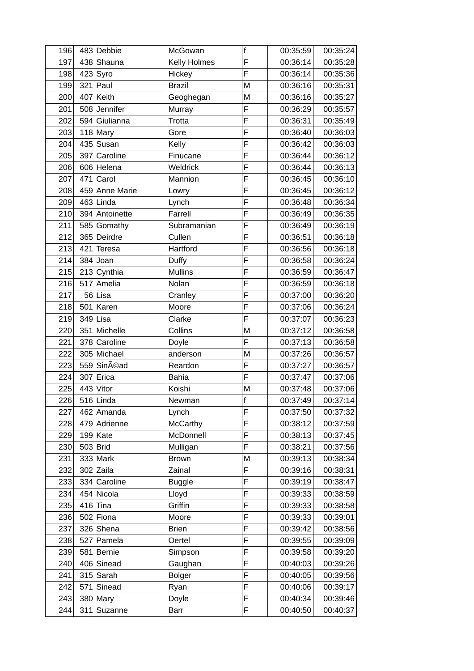| 196 | 483 Debbie     | McGowan         | $\mathsf{f}$ | 00:35:59 | 00:35:24 |
|-----|----------------|-----------------|--------------|----------|----------|
| 197 | 438 Shauna     | Kelly Holmes    | F            | 00:36:14 | 00:35:28 |
| 198 | $423$ Syro     | Hickey          | E            | 00:36:14 | 00:35:36 |
| 199 | $321$ Paul     | <b>Brazil</b>   | M            | 00:36:16 | 00:35:31 |
| 200 | $407$ Keith    | Geoghegan       | M            | 00:36:16 | 00:35:27 |
| 201 | 508 Jennifer   | Murray          | F            | 00:36:29 | 00:35:57 |
| 202 | 594 Giulianna  | Trotta          | F            | 00:36:31 | 00:35:49 |
| 203 | $118$ Mary     | Gore            | F            | 00:36:40 | 00:36:03 |
| 204 | $435$ Susan    | Kelly           | F            | 00:36:42 | 00:36:03 |
| 205 | 397 Caroline   | Finucane        | F            | 00:36:44 | 00:36:12 |
| 206 | 606 Helena     | Weldrick        | F            | 00:36:44 | 00:36:13 |
| 207 | $471$ Carol    | Mannion         | F            | 00:36:45 | 00:36:10 |
| 208 | 459 Anne Marie | Lowry           | F            | 00:36:45 | 00:36:12 |
| 209 | $463$ Linda    | Lynch           | F            | 00:36:48 | 00:36:34 |
| 210 | 394 Antoinette | Farrell         | F            | 00:36:49 | 00:36:35 |
| 211 | 585 Gomathy    | Subramanian     | F            | 00:36:49 | 00:36:19 |
| 212 | 365 Deirdre    | Cullen          | F            | 00:36:51 | 00:36:18 |
| 213 | $421$ Teresa   | Hartford        | F            | 00:36:56 | 00:36:18 |
| 214 | $384$ Joan     | Duffy           | F            | 00:36:58 | 00:36:24 |
| 215 | $213$ Cynthia  | <b>Mullins</b>  | F            | 00:36:59 | 00:36:47 |
| 216 | 517 Amelia     | Nolan           | F            | 00:36:59 | 00:36:18 |
| 217 | $56$ Lisa      | Cranley         | F            | 00:37:00 | 00:36:20 |
| 218 | $501$ Karen    | Moore           | F            | 00:37:06 | 00:36:24 |
| 219 | $349$ Lisa     | Clarke          | F            | 00:37:07 | 00:36:23 |
| 220 | 351 Michelle   | Collins         | M            | 00:37:12 | 00:36:58 |
| 221 | 378 Caroline   | Doyle           | F            | 00:37:13 | 00:36:58 |
| 222 | 305 Michael    | anderson        | M            | 00:37:26 | 00:36:57 |
| 223 | 559 Sinéad     | Reardon         | F            | 00:37:27 | 00:36:57 |
| 224 | $307$ Erica    | <b>Bahia</b>    | F            | 00:37:47 | 00:37:06 |
| 225 | $443$ Vitor    | Koishi          | M            | 00:37:48 | 00:37:06 |
| 226 | $516$ Linda    | Newman          | $\mathsf{f}$ | 00:37:49 | 00:37:14 |
| 227 | 462 Amanda     | Lynch           | F            | 00:37:50 | 00:37:32 |
| 228 | 479 Adrienne   | <b>McCarthy</b> | F            | 00:38:12 | 00:37:59 |
| 229 | $199$ Kate     | McDonnell       | F            | 00:38:13 | 00:37:45 |
| 230 | 503 Brid       | Mulligan        | F            | 00:38:21 | 00:37:56 |
| 231 | $333$ Mark     | <b>Brown</b>    | M            | 00:39:13 | 00:38:34 |
| 232 | $302$ Zaila    | Zainal          | F            | 00:39:16 | 00:38:31 |
| 233 | 334 Caroline   | <b>Buggle</b>   | F            | 00:39:19 | 00:38:47 |
| 234 | 454 Nicola     | Lloyd           | F            | 00:39:33 | 00:38:59 |
| 235 | $416$ Tina     | Griffin         | F            | 00:39:33 | 00:38:58 |
| 236 | 502 Fiona      | Moore           | F            | 00:39:33 | 00:39:01 |
| 237 | 326 Shena      | <b>Brien</b>    | F            | 00:39:42 | 00:38:56 |
| 238 | 527 Pamela     | Oertel          | F            | 00:39:55 | 00:39:09 |
| 239 | 581 Bernie     | Simpson         | F            | 00:39:58 | 00:39:20 |
| 240 | 406 Sinead     | Gaughan         | F            | 00:40:03 | 00:39:26 |
| 241 | $315$ Sarah    | <b>Bolger</b>   | F            | 00:40:05 | 00:39:56 |
| 242 | $571$ Sinead   | Ryan            | F            | 00:40:06 | 00:39:17 |
| 243 | $380$ Mary     | Doyle           | F            | 00:40:34 | 00:39:46 |
| 244 | 311 Suzanne    | <b>Barr</b>     | F            | 00:40:50 | 00:40:37 |